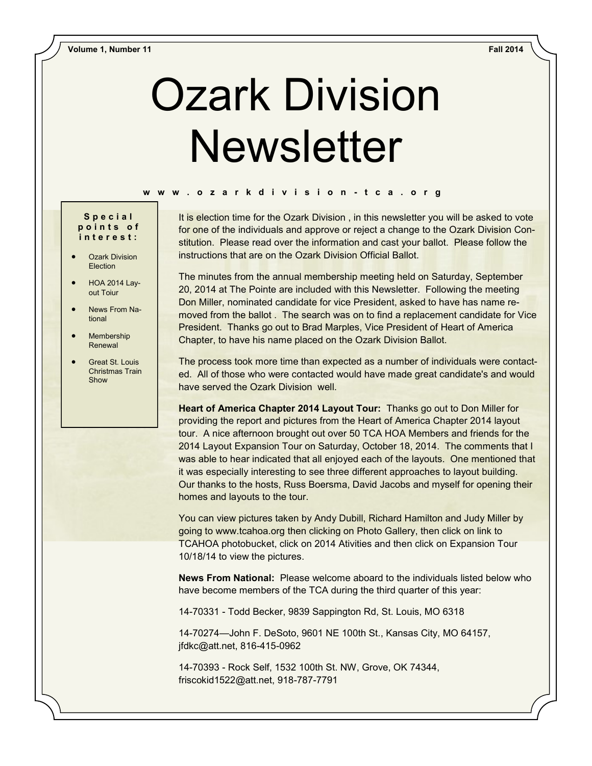# Ozark Division **Newsletter**

#### **w w w . o z a r k d i v i s i o n - t c a . o r g**

### **S p e c i a l p o i n t s o f i n t e r e s t :**

- Ozark Division Election
- HOA 2014 Layout Toiur
- News From National
- **Membership** Renewal
- Great St. Louis Christmas Train Show

It is election time for the Ozark Division, in this newsletter you will be asked to vote for one of the individuals and approve or reject a change to the Ozark Division Constitution. Please read over the information and cast your ballot. Please follow the instructions that are on the Ozark Division Official Ballot.

The minutes from the annual membership meeting held on Saturday, September 20, 2014 at The Pointe are included with this Newsletter. Following the meeting Don Miller, nominated candidate for vice President, asked to have has name removed from the ballot . The search was on to find a replacement candidate for Vice President. Thanks go out to Brad Marples, Vice President of Heart of America Chapter, to have his name placed on the Ozark Division Ballot.

The process took more time than expected as a number of individuals were contacted. All of those who were contacted would have made great candidate's and would have served the Ozark Division well.

**Heart of America Chapter 2014 Layout Tour:** Thanks go out to Don Miller for providing the report and pictures from the Heart of America Chapter 2014 layout tour. A nice afternoon brought out over 50 TCA HOA Members and friends for the 2014 Layout Expansion Tour on Saturday, October 18, 2014. The comments that I was able to hear indicated that all enjoyed each of the layouts. One mentioned that it was especially interesting to see three different approaches to layout building. Our thanks to the hosts, Russ Boersma, David Jacobs and myself for opening their homes and layouts to the tour.

You can view pictures taken by Andy Dubill, Richard Hamilton and Judy Miller by going to www.tcahoa.org then clicking on Photo Gallery, then click on link to TCAHOA photobucket, click on 2014 Ativities and then click on Expansion Tour 10/18/14 to view the pictures.

**News From National:** Please welcome aboard to the individuals listed below who have become members of the TCA during the third quarter of this year:

14-70331 - Todd Becker, 9839 Sappington Rd, St. Louis, MO 6318

14-70274—John F. DeSoto, 9601 NE 100th St., Kansas City, MO 64157, jfdkc@att.net, 816-415-0962

14-70393 - Rock Self, 1532 100th St. NW, Grove, OK 74344, friscokid1522@att.net, 918-787-7791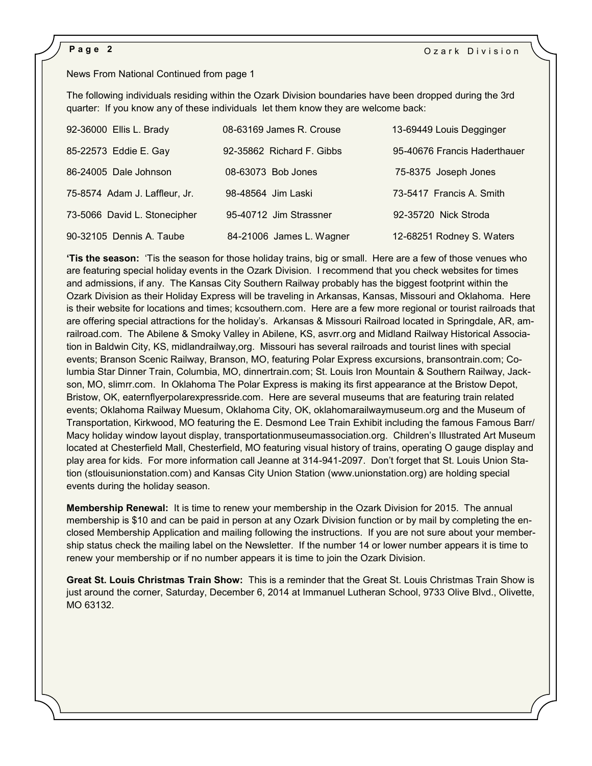# News From National Continued from page 1

The following individuals residing within the Ozark Division boundaries have been dropped during the 3rd quarter: If you know any of these individuals let them know they are welcome back:

| 92-36000 Ellis L. Brady       | 08-63169 James R. Crouse  | 13-69449 Louis Degginger     |
|-------------------------------|---------------------------|------------------------------|
| 85-22573 Eddie E. Gay         | 92-35862 Richard F. Gibbs | 95-40676 Francis Haderthauer |
| 86-24005 Dale Johnson         | 08-63073 Bob Jones        | 75-8375 Joseph Jones         |
| 75-8574 Adam J. Laffleur, Jr. | 98-48564 Jim Laski        | 73-5417 Francis A. Smith     |
| 73-5066 David L. Stonecipher  | 95-40712 Jim Strassner    | 92-35720 Nick Stroda         |
| 90-32105 Dennis A. Taube      | 84-21006 James L. Wagner  | 12-68251 Rodney S. Waters    |

**'Tis the season:** 'Tis the season for those holiday trains, big or small. Here are a few of those venues who are featuring special holiday events in the Ozark Division. I recommend that you check websites for times and admissions, if any. The Kansas City Southern Railway probably has the biggest footprint within the Ozark Division as their Holiday Express will be traveling in Arkansas, Kansas, Missouri and Oklahoma. Here is their website for locations and times; kcsouthern.com. Here are a few more regional or tourist railroads that are offering special attractions for the holiday's. Arkansas & Missouri Railroad located in Springdale, AR, amrailroad.com. The Abilene & Smoky Valley in Abilene, KS, asvrr.org and Midland Railway Historical Association in Baldwin City, KS, midlandrailway,org. Missouri has several railroads and tourist lines with special events; Branson Scenic Railway, Branson, MO, featuring Polar Express excursions, bransontrain.com; Columbia Star Dinner Train, Columbia, MO, dinnertrain.com; St. Louis Iron Mountain & Southern Railway, Jackson, MO, slimrr.com. In Oklahoma The Polar Express is making its first appearance at the Bristow Depot, Bristow, OK, eaternflyerpolarexpressride.com. Here are several museums that are featuring train related events; Oklahoma Railway Muesum, Oklahoma City, OK, oklahomarailwaymuseum.org and the Museum of Transportation, Kirkwood, MO featuring the E. Desmond Lee Train Exhibit including the famous Famous Barr/ Macy holiday window layout display, transportationmuseumassociation.org. Children's Illustrated Art Museum located at Chesterfield Mall, Chesterfield, MO featuring visual history of trains, operating O gauge display and play area for kids. For more information call Jeanne at 314-941-2097. Don't forget that St. Louis Union Station (stlouisunionstation.com) and Kansas City Union Station (www.unionstation.org) are holding special events during the holiday season.

**Membership Renewal:** It is time to renew your membership in the Ozark Division for 2015. The annual membership is \$10 and can be paid in person at any Ozark Division function or by mail by completing the enclosed Membership Application and mailing following the instructions. If you are not sure about your membership status check the mailing label on the Newsletter. If the number 14 or lower number appears it is time to renew your membership or if no number appears it is time to join the Ozark Division.

**Great St. Louis Christmas Train Show:** This is a reminder that the Great St. Louis Christmas Train Show is just around the corner, Saturday, December 6, 2014 at Immanuel Lutheran School, 9733 Olive Blvd., Olivette, MO 63132.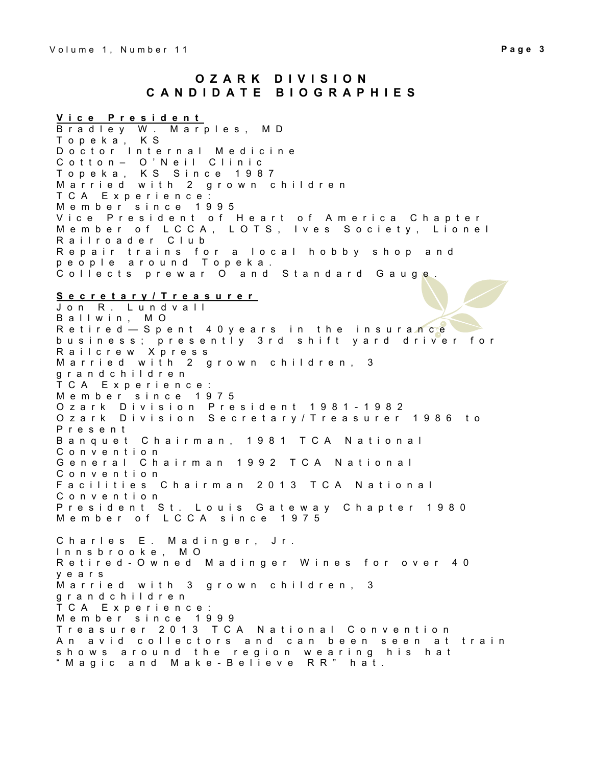**V i c e P r e s i d e n t** B r a d l e y W . M a r p l e s , M D T o p e k a , K S D o c t o r Internal Medicine C o t t o n – O ' N e i l C l i n i c T o p e k a , K S S i n c e 1 9 8 7 M a r r i e d w i t h 2 g r o w n c h i l d r e n T C A E x p e r i e n c e : M e m b e r s i n c e 1995 Vice President of Heart of America Chapter Member of LCCA, LOTS, Ives Society, Lionel Railroader Club R e p a ir trains for a local hobby shop and p e o p l e a r o u n d T o p e k a . Collects prewar O and Standard Gauge. **S e c r e t a r y / T r e a s u r e r** J o n R . L u n d v a l l B a l I w i n, M O Retired — Spent 40 years in the insurance b u s i n e s s ; p r e s e n t l y  $\,$  3 r d  $\,$  s h i f t  $\,$  y a r d  $\,$  d r i v e r  $\,$  f o r  $\,$ R a i l c r e w X p r e s s Married with 2 grown children, 3 g r a n d c h i l d r e n T C A E x p e r i e n c e : M e m b e r s i n c e 1975 Ozark Division President 1981-1982 Ozark Division Secretary/Treasurer 1986 to P r e s e n t Banquet Chairman, 1981 TCA National C o n v e n t i o n General Chairman 1992 TCA National C o n v e n t i o n Facilities Chairman 2013 TCA National C o n v e n t i o n President St. Louis Gateway Chapter 1980 M e m b e r o f L C C A sin c e 1975 Charles E. Madinger, Jr. I n n s b r o o k e , M O Retired - Owned Madinger Wines for over 40 y e a r s Married with 3 grown children, 3 g r a n d c h i l d r e n T C A E x p e r i e n c e : Member since 1999 Treasurer 2013 TCA National Convention An avid collectors and can been seen at train shows around the region wearing his hat " Magic and Make - Believe RR" hat.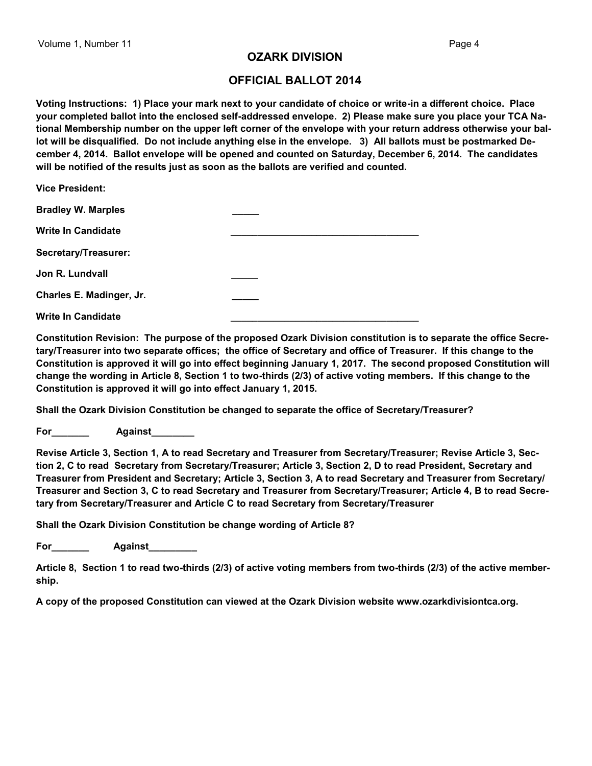# **OZARK DIVISION**

# **OFFICIAL BALLOT 2014**

**Voting Instructions: 1) Place your mark next to your candidate of choice or write-in a different choice. Place your completed ballot into the enclosed self-addressed envelope. 2) Please make sure you place your TCA National Membership number on the upper left corner of the envelope with your return address otherwise your ballot will be disqualified. Do not include anything else in the envelope. 3) All ballots must be postmarked December 4, 2014. Ballot envelope will be opened and counted on Saturday, December 6, 2014. The candidates will be notified of the results just as soon as the ballots are verified and counted.**

| <b>Vice President:</b>    |  |
|---------------------------|--|
| <b>Bradley W. Marples</b> |  |
| <b>Write In Candidate</b> |  |
| Secretary/Treasurer:      |  |
| Jon R. Lundvall           |  |
| Charles E. Madinger, Jr.  |  |
| <b>Write In Candidate</b> |  |

**Constitution Revision: The purpose of the proposed Ozark Division constitution is to separate the office Secretary/Treasurer into two separate offices; the office of Secretary and office of Treasurer. If this change to the Constitution is approved it will go into effect beginning January 1, 2017. The second proposed Constitution will change the wording in Article 8, Section 1 to two-thirds (2/3) of active voting members. If this change to the Constitution is approved it will go into effect January 1, 2015.**

**Shall the Ozark Division Constitution be changed to separate the office of Secretary/Treasurer?**

**For\_\_\_\_\_\_\_ Against\_\_\_\_\_\_\_\_**

**Revise Article 3, Section 1, A to read Secretary and Treasurer from Secretary/Treasurer; Revise Article 3, Section 2, C to read Secretary from Secretary/Treasurer; Article 3, Section 2, D to read President, Secretary and Treasurer from President and Secretary; Article 3, Section 3, A to read Secretary and Treasurer from Secretary/ Treasurer and Section 3, C to read Secretary and Treasurer from Secretary/Treasurer; Article 4, B to read Secretary from Secretary/Treasurer and Article C to read Secretary from Secretary/Treasurer**

**Shall the Ozark Division Constitution be change wording of Article 8?**

**For\_\_\_\_\_\_\_ Against\_\_\_\_\_\_\_\_\_**

**Article 8, Section 1 to read two-thirds (2/3) of active voting members from two-thirds (2/3) of the active membership.**

**A copy of the proposed Constitution can viewed at the Ozark Division website www.ozarkdivisiontca.org.**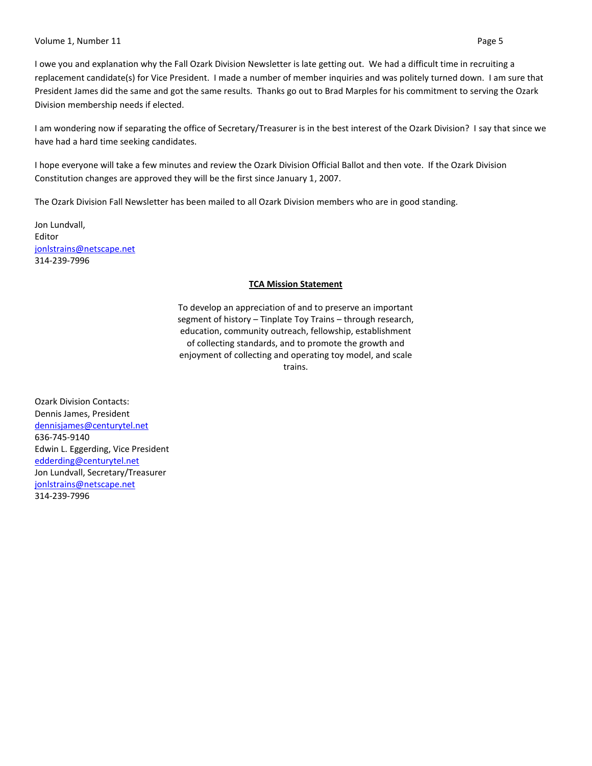#### Volume 1, Number 11 Page 5

I owe you and explanation why the Fall Ozark Division Newsletter is late getting out. We had a difficult time in recruiting a replacement candidate(s) for Vice President. I made a number of member inquiries and was politely turned down. I am sure that President James did the same and got the same results. Thanks go out to Brad Marples for his commitment to serving the Ozark Division membership needs if elected.

I am wondering now if separating the office of Secretary/Treasurer is in the best interest of the Ozark Division? I say that since we have had a hard time seeking candidates.

I hope everyone will take a few minutes and review the Ozark Division Official Ballot and then vote. If the Ozark Division Constitution changes are approved they will be the first since January 1, 2007.

The Ozark Division Fall Newsletter has been mailed to all Ozark Division members who are in good standing.

Jon Lundvall, Editor [jonlstrains@netscape.net](mailto:jonlstrains@netscape.net) 314-239-7996

# **TCA Mission Statement**

To develop an appreciation of and to preserve an important segment of history – Tinplate Toy Trains – through research, education, community outreach, fellowship, establishment of collecting standards, and to promote the growth and enjoyment of collecting and operating toy model, and scale trains.

Ozark Division Contacts: Dennis James, President [dennisjames@centurytel.net](mailto:dennisjames@centurytel.net) 636-745-9140 Edwin L. Eggerding, Vice President [edderding@centurytel.net](mailto:edderding@centurytel.net) Jon Lundvall, Secretary/Treasurer [jonlstrains@netscape.net](mailto:jonlstrains@netscape.net) 314-239-7996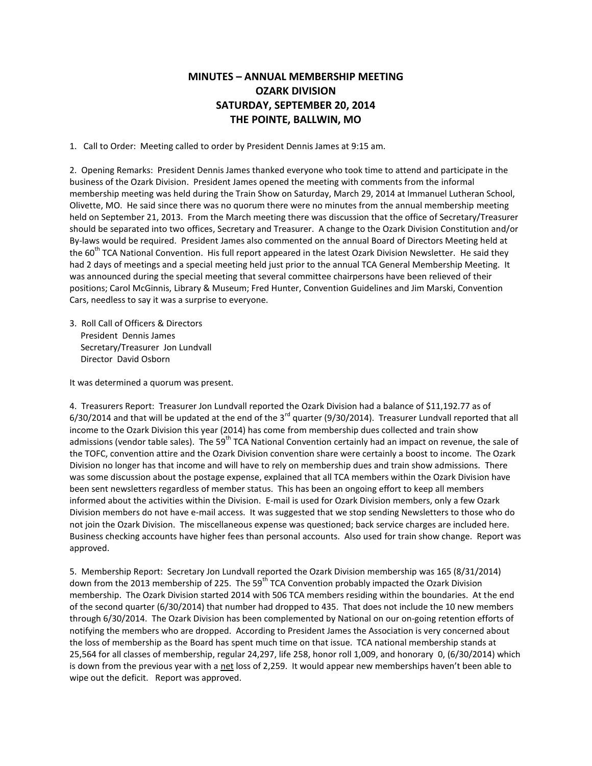# **MINUTES – ANNUAL MEMBERSHIP MEETING OZARK DIVISION SATURDAY, SEPTEMBER 20, 2014 THE POINTE, BALLWIN, MO**

1. Call to Order: Meeting called to order by President Dennis James at 9:15 am.

2. Opening Remarks: President Dennis James thanked everyone who took time to attend and participate in the business of the Ozark Division. President James opened the meeting with comments from the informal membership meeting was held during the Train Show on Saturday, March 29, 2014 at Immanuel Lutheran School, Olivette, MO. He said since there was no quorum there were no minutes from the annual membership meeting held on September 21, 2013. From the March meeting there was discussion that the office of Secretary/Treasurer should be separated into two offices, Secretary and Treasurer. A change to the Ozark Division Constitution and/or By-laws would be required. President James also commented on the annual Board of Directors Meeting held at the  $60<sup>th</sup>$  TCA National Convention. His full report appeared in the latest Ozark Division Newsletter. He said they had 2 days of meetings and a special meeting held just prior to the annual TCA General Membership Meeting. It was announced during the special meeting that several committee chairpersons have been relieved of their positions; Carol McGinnis, Library & Museum; Fred Hunter, Convention Guidelines and Jim Marski, Convention Cars, needless to say it was a surprise to everyone.

3. Roll Call of Officers & Directors President Dennis James Secretary/Treasurer Jon Lundvall Director David Osborn

It was determined a quorum was present.

4. Treasurers Report: Treasurer Jon Lundvall reported the Ozark Division had a balance of \$11,192.77 as of  $6/30/2014$  and that will be updated at the end of the 3 $^{rd}$  quarter (9/30/2014). Treasurer Lundvall reported that all income to the Ozark Division this year (2014) has come from membership dues collected and train show admissions (vendor table sales). The 59<sup>th</sup> TCA National Convention certainly had an impact on revenue, the sale of the TOFC, convention attire and the Ozark Division convention share were certainly a boost to income. The Ozark Division no longer has that income and will have to rely on membership dues and train show admissions. There was some discussion about the postage expense, explained that all TCA members within the Ozark Division have been sent newsletters regardless of member status. This has been an ongoing effort to keep all members informed about the activities within the Division. E-mail is used for Ozark Division members, only a few Ozark Division members do not have e-mail access. It was suggested that we stop sending Newsletters to those who do not join the Ozark Division. The miscellaneous expense was questioned; back service charges are included here. Business checking accounts have higher fees than personal accounts. Also used for train show change. Report was approved.

5. Membership Report: Secretary Jon Lundvall reported the Ozark Division membership was 165 (8/31/2014) down from the 2013 membership of 225. The 59<sup>th</sup> TCA Convention probably impacted the Ozark Division membership. The Ozark Division started 2014 with 506 TCA members residing within the boundaries. At the end of the second quarter (6/30/2014) that number had dropped to 435. That does not include the 10 new members through 6/30/2014. The Ozark Division has been complemented by National on our on-going retention efforts of notifying the members who are dropped. According to President James the Association is very concerned about the loss of membership as the Board has spent much time on that issue. TCA national membership stands at 25,564 for all classes of membership, regular 24,297, life 258, honor roll 1,009, and honorary 0, (6/30/2014) which is down from the previous year with a net loss of 2,259. It would appear new memberships haven't been able to wipe out the deficit. Report was approved.